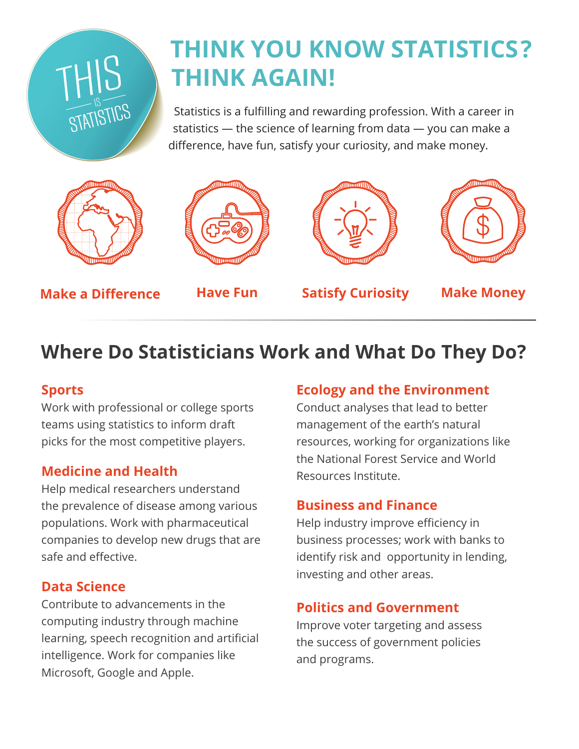# **THINK YOU KNOW STATISTICS? THINK AGAIN!**

Statistics is a fulfilling and rewarding profession. With a career in statistics — the science of learning from data — you can make a difference, have fun, satisfy your curiosity, and make money.



THIS<br>STATISTICS







**Make a Difference**

**Have Fun Satisfy Curiosity Make Money**

## **Where Do Statisticians Work and What Do They Do?**

#### **Sports**

Work with professional or college sports teams using statistics to inform draft picks for the most competitive players.

#### **Medicine and Health**

Help medical researchers understand the prevalence of disease among various populations. Work with pharmaceutical companies to develop new drugs that are safe and effective.

#### **Data Science**

Contribute to advancements in the computing industry through machine learning, speech recognition and artificial intelligence. Work for companies like Microsoft, Google and Apple.

#### **Ecology and the Environment**

Conduct analyses that lead to better management of the earth's natural resources, working for organizations like the National Forest Service and World Resources Institute.

#### **Business and Finance**

Help industry improve efficiency in business processes; work with banks to identify risk and opportunity in lending, investing and other areas.

#### **Politics and Government**

Improve voter targeting and assess the success of government policies and programs.